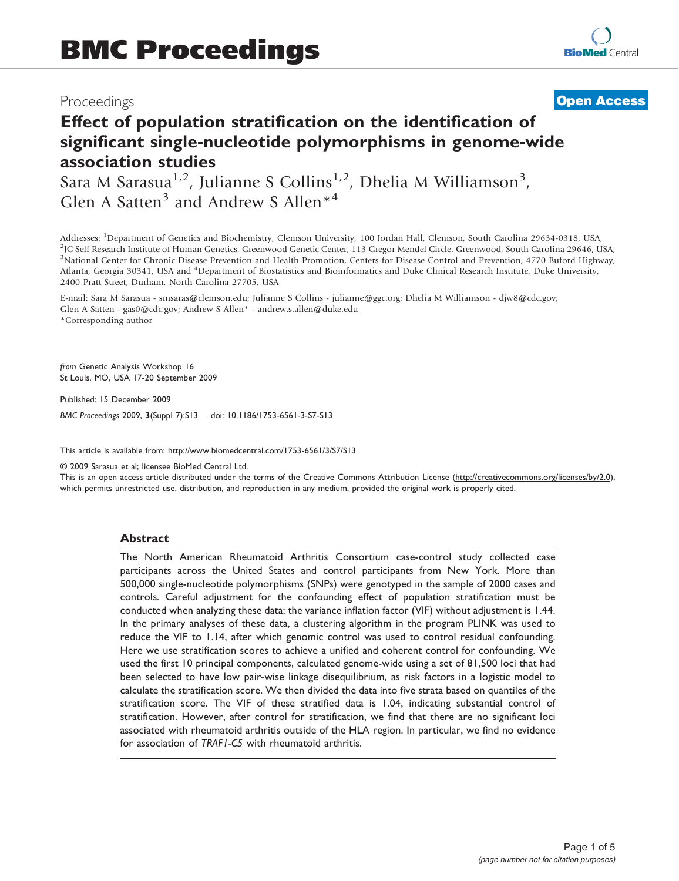## Proceedings

## **[Open Access](http://www.biomedcentral.com/info/about/charter/)**

# Effect of population stratification on the identification of significant single-nucleotide polymorphisms in genome-wide association studies

Sara M Sarasua<sup>1,2</sup>, Julianne S Collins<sup>1,2</sup>, Dhelia M Williamson<sup>3</sup>, Glen A Satten<sup>3</sup> and Andrew S Allen<sup>\*4</sup>

Addresses: <sup>1</sup>Department of Genetics and Biochemistry, Clemson University, 100 Jordan Hall, Clemson, South Carolina 29634-0318, USA,<br><sup>2</sup>IC Self Research Institute of Human Cenetics, Creenwood Cenetic Center, 113 Creen Mend <sup>2</sup>JC Self Research Institute of Human Genetics, Greenwood Genetic Center, 113 Gregor Mendel Circle, Greenwood, South Carolina 29646, USA, <sup>3</sup>National Center for Chronic Disease Prevention and Health Promotion, Centers for Disease Control and Prevention, 4770 Buford Highway, Atlanta, Georgia 30341, USA and <sup>4</sup>Department of Biostatistics and Bioinformatics and Duke Clinical Research Institute, Duke University, 2400 Pratt Street, Durham, North Carolina 27705, USA

E-mail: Sara M Sarasua - [smsaras@clemson.edu](mailto:smsaras@clemson.edu); Julianne S Collins - [julianne@ggc.org;](mailto:julianne@ggc.org) Dhelia M Williamson - [djw8@cdc.gov;](mailto:djw8@cdc.gov) Glen A Satten - [gas0@cdc.gov](mailto:gas0@cdc.gov); Andrew S Allen\* - [andrew.s.allen@duke.edu](mailto:andrew.s.allen@duke.edu) \*Corresponding author

from Genetic Analysis Workshop 16 St Louis, MO, USA 17-20 September 2009

Published: 15 December 2009

BMC Proceedings 2009, 3(Suppl 7):S13 doi: 10.1186/1753-6561-3-S7-S13

This article is available from: http://www.biomedcentral.com/1753-6561/3/S7/S13

© 2009 Sarasua et al; licensee BioMed Central Ltd.

This is an open access article distributed under the terms of the Creative Commons Attribution License [\(http://creativecommons.org/licenses/by/2.0\)](http://creativecommons.org/licenses/by/2.0), which permits unrestricted use, distribution, and reproduction in any medium, provided the original work is properly cited.

#### Abstract

The North American Rheumatoid Arthritis Consortium case-control study collected case participants across the United States and control participants from New York. More than 500,000 single-nucleotide polymorphisms (SNPs) were genotyped in the sample of 2000 cases and controls. Careful adjustment for the confounding effect of population stratification must be conducted when analyzing these data; the variance inflation factor (VIF) without adjustment is 1.44. In the primary analyses of these data, a clustering algorithm in the program PLINK was used to reduce the VIF to 1.14, after which genomic control was used to control residual confounding. Here we use stratification scores to achieve a unified and coherent control for confounding. We used the first 10 principal components, calculated genome-wide using a set of 81,500 loci that had been selected to have low pair-wise linkage disequilibrium, as risk factors in a logistic model to calculate the stratification score. We then divided the data into five strata based on quantiles of the stratification score. The VIF of these stratified data is 1.04, indicating substantial control of stratification. However, after control for stratification, we find that there are no significant loci associated with rheumatoid arthritis outside of the HLA region. In particular, we find no evidence for association of TRAF1-C5 with rheumatoid arthritis.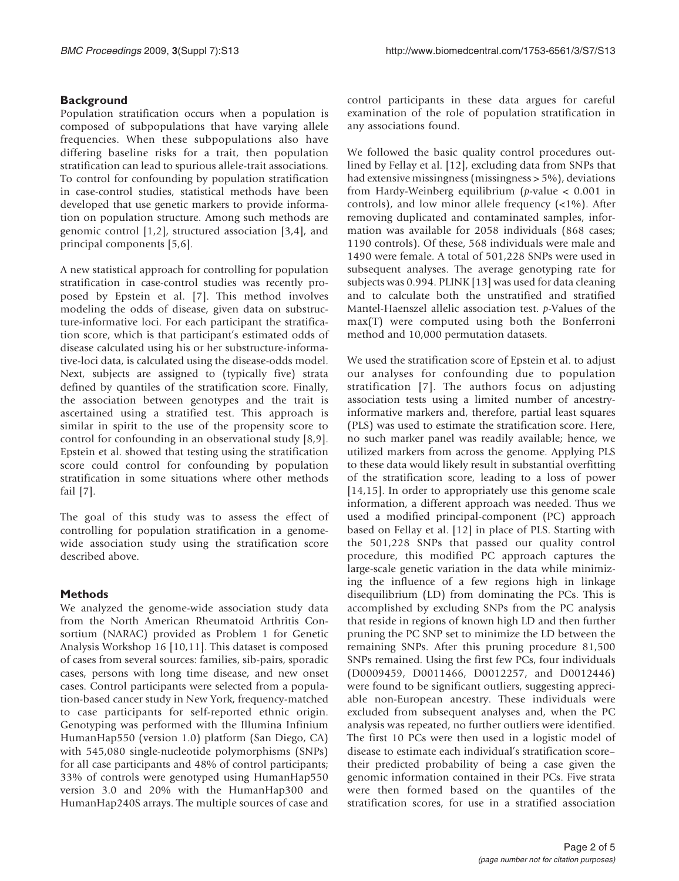## **Background**

Population stratification occurs when a population is composed of subpopulations that have varying allele frequencies. When these subpopulations also have differing baseline risks for a trait, then population stratification can lead to spurious allele-trait associations. To control for confounding by population stratification in case-control studies, statistical methods have been developed that use genetic markers to provide information on population structure. Among such methods are genomic control [\[1,2\]](#page-3-0), structured association [[3](#page-3-0),[4](#page-3-0)], and principal components [\[5,6\]](#page-3-0).

A new statistical approach for controlling for population stratification in case-control studies was recently proposed by Epstein et al. [[7](#page-3-0)]. This method involves modeling the odds of disease, given data on substructure-informative loci. For each participant the stratification score, which is that participant's estimated odds of disease calculated using his or her substructure-informative-loci data, is calculated using the disease-odds model. Next, subjects are assigned to (typically five) strata defined by quantiles of the stratification score. Finally, the association between genotypes and the trait is ascertained using a stratified test. This approach is similar in spirit to the use of the propensity score to control for confounding in an observational study [[8](#page-4-0),[9](#page-4-0)]. Epstein et al. showed that testing using the stratification score could control for confounding by population stratification in some situations where other methods fail [[7](#page-3-0)].

The goal of this study was to assess the effect of controlling for population stratification in a genomewide association study using the stratification score described above.

## Methods

We analyzed the genome-wide association study data from the North American Rheumatoid Arthritis Consortium (NARAC) provided as Problem 1 for Genetic Analysis Workshop 16 [[10,11](#page-4-0)]. This dataset is composed of cases from several sources: families, sib-pairs, sporadic cases, persons with long time disease, and new onset cases. Control participants were selected from a population-based cancer study in New York, frequency-matched to case participants for self-reported ethnic origin. Genotyping was performed with the Illumina Infinium HumanHap550 (version 1.0) platform (San Diego, CA) with 545,080 single-nucleotide polymorphisms (SNPs) for all case participants and 48% of control participants; 33% of controls were genotyped using HumanHap550 version 3.0 and 20% with the HumanHap300 and HumanHap240S arrays. The multiple sources of case and

control participants in these data argues for careful examination of the role of population stratification in any associations found.

We followed the basic quality control procedures outlined by Fellay et al. [[12\]](#page-4-0), excluding data from SNPs that had extensive missingness (missingness > 5%), deviations from Hardy-Weinberg equilibrium ( $p$ -value < 0.001 in controls), and low minor allele frequency (<1%). After removing duplicated and contaminated samples, information was available for 2058 individuals (868 cases; 1190 controls). Of these, 568 individuals were male and 1490 were female. A total of 501,228 SNPs were used in subsequent analyses. The average genotyping rate for subjects was 0.994. PLINK [\[13](#page-4-0)] was used for data cleaning and to calculate both the unstratified and stratified Mantel-Haenszel allelic association test. p-Values of the max(T) were computed using both the Bonferroni method and 10,000 permutation datasets.

We used the stratification score of Epstein et al. to adjust our analyses for confounding due to population stratification [[7\]](#page-3-0). The authors focus on adjusting association tests using a limited number of ancestryinformative markers and, therefore, partial least squares (PLS) was used to estimate the stratification score. Here, no such marker panel was readily available; hence, we utilized markers from across the genome. Applying PLS to these data would likely result in substantial overfitting of the stratification score, leading to a loss of power [[14](#page-4-0),[15\]](#page-4-0). In order to appropriately use this genome scale information, a different approach was needed. Thus we used a modified principal-component (PC) approach based on Fellay et al. [[12](#page-4-0)] in place of PLS. Starting with the 501,228 SNPs that passed our quality control procedure, this modified PC approach captures the large-scale genetic variation in the data while minimizing the influence of a few regions high in linkage disequilibrium (LD) from dominating the PCs. This is accomplished by excluding SNPs from the PC analysis that reside in regions of known high LD and then further pruning the PC SNP set to minimize the LD between the remaining SNPs. After this pruning procedure 81,500 SNPs remained. Using the first few PCs, four individuals (D0009459, D0011466, D0012257, and D0012446) were found to be significant outliers, suggesting appreciable non-European ancestry. These individuals were excluded from subsequent analyses and, when the PC analysis was repeated, no further outliers were identified. The first 10 PCs were then used in a logistic model of disease to estimate each individual's stratification score– their predicted probability of being a case given the genomic information contained in their PCs. Five strata were then formed based on the quantiles of the stratification scores, for use in a stratified association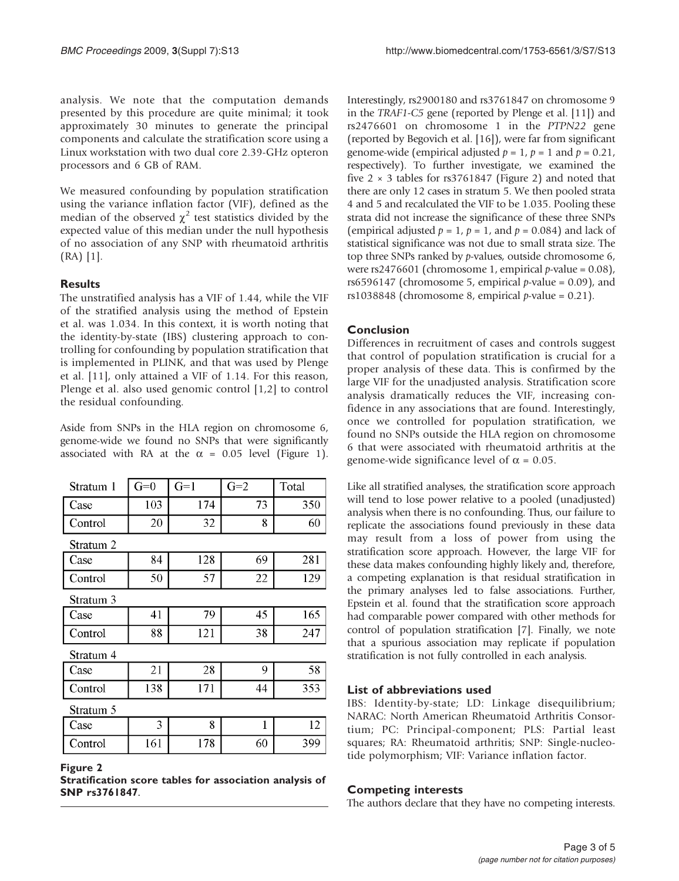analysis. We note that the computation demands presented by this procedure are quite minimal; it took approximately 30 minutes to generate the principal components and calculate the stratification score using a Linux workstation with two dual core 2.39-GHz opteron processors and 6 GB of RAM.

We measured confounding by population stratification using the variance inflation factor (VIF), defined as the median of the observed  $\chi^2$  test statistics divided by the expected value of this median under the null hypothesis of no association of any SNP with rheumatoid arthritis (RA) [\[1\]](#page-3-0).

## **Results**

The unstratified analysis has a VIF of 1.44, while the VIF of the stratified analysis using the method of Epstein et al. was 1.034. In this context, it is worth noting that the identity-by-state (IBS) clustering approach to controlling for confounding by population stratification that is implemented in PLINK, and that was used by Plenge et al. [[11\]](#page-4-0), only attained a VIF of 1.14. For this reason, Plenge et al. also used genomic control [[1](#page-3-0),[2](#page-3-0)] to control the residual confounding.

Aside from SNPs in the HLA region on chromosome 6, genome-wide we found no SNPs that were significantly associated with RA at the  $\alpha$  = 0.05 level [\(Figure 1\)](#page-3-0).

| Stratum 1 | $G=0$ | $G=1$ | $G=2$ | Total |
|-----------|-------|-------|-------|-------|
| Case      | 103   | 174   | 73    | 350   |
| Control   | 20    | 32    | 8     | 60    |
| Stratum 2 |       |       |       |       |
| Case      | 84    | 128   | 69    | 281   |
| Control   | 50    | 57    | 22    | 129   |
| Stratum 3 |       |       |       |       |
| Case      | 41    | 79    | 45    | 165   |
| Control   | 88    | 121   | 38    | 247   |
| Stratum 4 |       |       |       |       |
| Case      | 21    | 28    | 9     | 58    |
| Control   | 138   | 171   | 44    | 353   |
| Stratum 5 |       |       |       |       |
| Case      | 3     | 8     | 1     | 12    |
| Control   | 161   | 178   | 60    | 399   |

Figure 2

Stratification score tables for association analysis of SNP rs3761847.

Interestingly, rs2900180 and rs3761847 on chromosome 9 in the TRAF1-C5 gene (reported by Plenge et al. [[11](#page-4-0)]) and rs2476601 on chromosome 1 in the PTPN22 gene (reported by Begovich et al. [[16](#page-4-0)]), were far from significant genome-wide (empirical adjusted  $p = 1$ ,  $p = 1$  and  $p = 0.21$ , respectively). To further investigate, we examined the five  $2 \times 3$  tables for rs3761847 (Figure 2) and noted that there are only 12 cases in stratum 5. We then pooled strata 4 and 5 and recalculated the VIF to be 1.035. Pooling these strata did not increase the significance of these three SNPs (empirical adjusted  $p = 1$ ,  $p = 1$ , and  $p = 0.084$ ) and lack of statistical significance was not due to small strata size. The top three SNPs ranked by p-values, outside chromosome 6, were rs2476601 (chromosome 1, empirical  $p$ -value = 0.08), rs6596147 (chromosome 5, empirical  $p$ -value = 0.09), and rs1038848 (chromosome 8, empirical  $p$ -value = 0.21).

## Conclusion

Differences in recruitment of cases and controls suggest that control of population stratification is crucial for a proper analysis of these data. This is confirmed by the large VIF for the unadjusted analysis. Stratification score analysis dramatically reduces the VIF, increasing confidence in any associations that are found. Interestingly, once we controlled for population stratification, we found no SNPs outside the HLA region on chromosome 6 that were associated with rheumatoid arthritis at the genome-wide significance level of  $\alpha = 0.05$ .

Like all stratified analyses, the stratification score approach will tend to lose power relative to a pooled (unadjusted) analysis when there is no confounding. Thus, our failure to replicate the associations found previously in these data may result from a loss of power from using the stratification score approach. However, the large VIF for these data makes confounding highly likely and, therefore, a competing explanation is that residual stratification in the primary analyses led to false associations. Further, Epstein et al. found that the stratification score approach had comparable power compared with other methods for control of population stratification [[7\]](#page-3-0). Finally, we note that a spurious association may replicate if population stratification is not fully controlled in each analysis.

## List of abbreviations used

IBS: Identity-by-state; LD: Linkage disequilibrium; NARAC: North American Rheumatoid Arthritis Consortium; PC: Principal-component; PLS: Partial least squares; RA: Rheumatoid arthritis; SNP: Single-nucleotide polymorphism; VIF: Variance inflation factor.

#### Competing interests

The authors declare that they have no competing interests.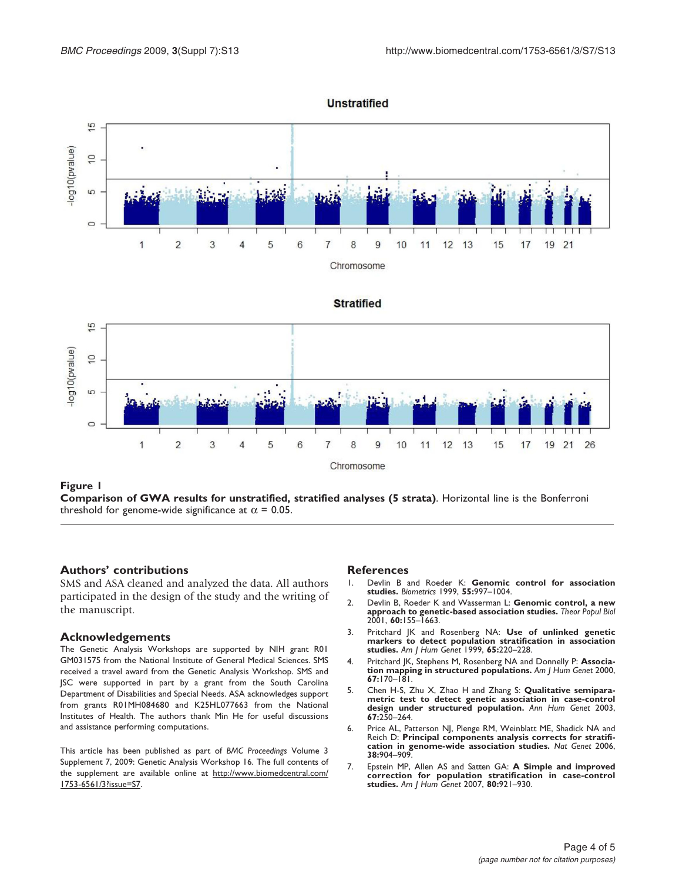<span id="page-3-0"></span>

**Unstratified** 

Chromosome

Figure 1

Comparison of GWA results for unstratified, stratified analyses (5 strata). Horizontal line is the Bonferroni threshold for genome-wide significance at  $\alpha$  = 0.05.

#### Authors' contributions

SMS and ASA cleaned and analyzed the data. All authors participated in the design of the study and the writing of the manuscript.

#### Acknowledgements

The Genetic Analysis Workshops are supported by NIH grant R01 GM031575 from the National Institute of General Medical Sciences. SMS received a travel award from the Genetic Analysis Workshop. SMS and JSC were supported in part by a grant from the South Carolina Department of Disabilities and Special Needs. ASA acknowledges support from grants R01MH084680 and K25HL077663 from the National Institutes of Health. The authors thank Min He for useful discussions and assistance performing computations.

This article has been published as part of BMC Proceedings Volume 3 Supplement 7, 2009: Genetic Analysis Workshop 16. The full contents of the supplement are available online at [http://www.biomedcentral.com/](http://www.biomedcentral.com/1753-6561/3?issue=S7) [1753-6561/3?issue=S7](http://www.biomedcentral.com/1753-6561/3?issue=S7).

#### **References**

- 1. Devlin B and Roeder K: [Genomic control for association](http://www.ncbi.nlm.nih.gov/pubmed/11315092?dopt=Abstract) [studies.](http://www.ncbi.nlm.nih.gov/pubmed/11315092?dopt=Abstract) Biometrics 1999, 55:997–1004.
- 2. Devlin B, Roeder K and Wasserman L: [Genomic control, a new](http://www.ncbi.nlm.nih.gov/pubmed/11855950?dopt=Abstract) [approach to genetic-based association studies.](http://www.ncbi.nlm.nih.gov/pubmed/11855950?dopt=Abstract) Theor Popul Biol 2001, 60:155–1663.
- 3. Pritchard JK and Rosenberg NA: [Use of unlinked genetic](http://www.ncbi.nlm.nih.gov/pubmed/10364535?dopt=Abstract) [markers to detect population stratification in association](http://www.ncbi.nlm.nih.gov/pubmed/10364535?dopt=Abstract) [studies.](http://www.ncbi.nlm.nih.gov/pubmed/10364535?dopt=Abstract) Am J Hum Genet 1999, 65:220–228.
- 4. Pritchard JK, Stephens M, Rosenberg NA and Donnelly P: [Associa](http://www.ncbi.nlm.nih.gov/pubmed/10827107?dopt=Abstract)[tion mapping in structured populations.](http://www.ncbi.nlm.nih.gov/pubmed/10827107?dopt=Abstract) Am J Hum Genet 2000, 67:170–181.
- 5. Chen H-S, Zhu X, Zhao H and Zhang S: [Qualitative semipara](http://www.ncbi.nlm.nih.gov/pubmed/12914577?dopt=Abstract)[metric test to detect genetic association in case-control](http://www.ncbi.nlm.nih.gov/pubmed/12914577?dopt=Abstract) [design under structured population.](http://www.ncbi.nlm.nih.gov/pubmed/12914577?dopt=Abstract) Ann Hum Genet 2003, 67:250–264.
- 6. Price AL, Patterson NJ, Plenge RM, Weinblatt ME, Shadick NA and Reich D: [Principal components analysis corrects for stratifi-](http://www.ncbi.nlm.nih.gov/pubmed/16862161?dopt=Abstract)[cation in genome-wide association studies.](http://www.ncbi.nlm.nih.gov/pubmed/16862161?dopt=Abstract) Nat Genet 2006, 38:904–909.
- 7. Epstein MP, Allen AS and Satten GA: [A Simple and improved](http://www.ncbi.nlm.nih.gov/pubmed/17436246?dopt=Abstract) [correction for population stratification in case-control](http://www.ncbi.nlm.nih.gov/pubmed/17436246?dopt=Abstract) [studies.](http://www.ncbi.nlm.nih.gov/pubmed/17436246?dopt=Abstract) Am J Hum Genet 2007, 80:921–930.